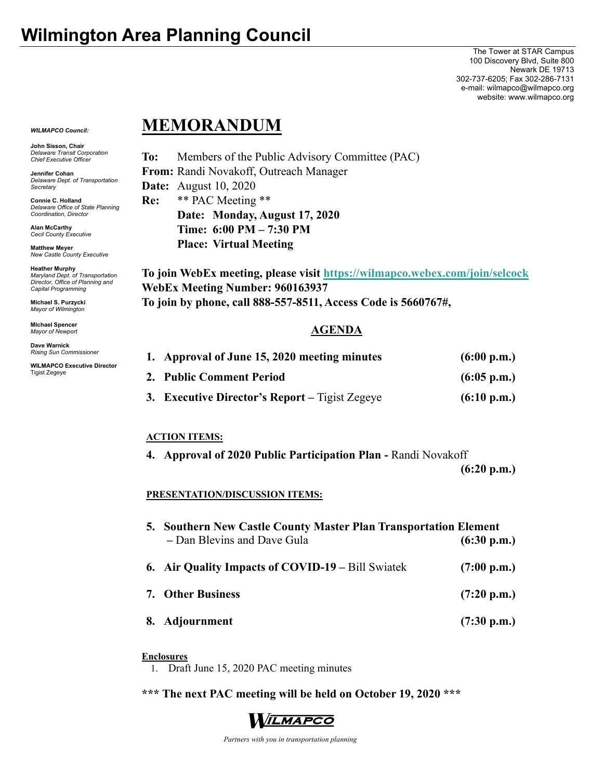The Tower at STAR Campus 100 Discovery Blvd, Suite 800 Newark DE 19713 302-737-6205; Fax 302-286-7131 e-mail: wilmapco@wilmapco.org website: www.wilmapco.org

*WILMAPCO Council:*

**John Sisson, Chair**  *Delaware Transit Corporation Chief Executive Officer*

**Jennifer Cohan**  *Delaware Dept. of Transportation Secretary*

**Connie C. Holland**  *Delaware Office of State Planning Coordination, Director*

**Alan McCarthy** *Cecil County Executive* 

**Matthew Meyer**  *New Castle County Executive* 

**Heather Murphy**  *Maryland Dept. of Transportation Director, Office of Planning and Capital Programming* 

**Michael S. Purzycki**  *Mayor of Wilmington*

**Michael Spencer**  *Mayor of Newport* 

**Dave Warnick**  *Rising Sun Commissioner* 

**WILMAPCO Executive Director**  Tigist Zegeye

# **MEMORANDUM**

**To:** Members of the Public Advisory Committee (PAC) **From:** Randi Novakoff, Outreach Manager **Date:** August 10, 2020 **Re:** \*\* PAC Meeting \*\* **Date: Monday, August 17, 2020 Time: 6:00 PM – 7:30 PM Place: Virtual Meeting** 

**To join WebEx meeting, please visit https://wilmapco.webex.com/join/selcock WebEx Meeting Number: 960163937 To join by phone, call 888-557-8511, Access Code is 5660767#,** 

## **AGENDA**

| 1. Approval of June 15, 2020 meeting minutes   | (6:00 p.m.)           |
|------------------------------------------------|-----------------------|
| 2. Public Comment Period                       | $(6:05 \text{ p.m.})$ |
| 3. Executive Director's Report – Tigist Zegeye | (6:10 p.m.)           |

### **ACTION ITEMS:**

**4. Approval of 2020 Public Participation Plan -** Randi Novakoff

 **(6:20 p.m.)** 

### **PRESENTATION/DISCUSSION ITEMS:**

| 5. Southern New Castle County Master Plan Transportation Element<br>- Dan Blevins and Dave Gula | (6:30 p.m.)           |
|-------------------------------------------------------------------------------------------------|-----------------------|
| <b>6. Air Quality Impacts of COVID-19 – Bill Swiatek</b>                                        | $(7:00 \text{ p.m.})$ |
| <b>7. Other Business</b>                                                                        | $(7:20 \text{ p.m.})$ |
| 8. Adjournment                                                                                  | $(7:30 \text{ p.m.})$ |

#### **Enclosures**

1. Draft June 15, 2020 PAC meeting minutes

**\*\*\* The next PAC meeting will be held on October 19, 2020 \*\*\*** 



 *Partners with you in transportation planning*